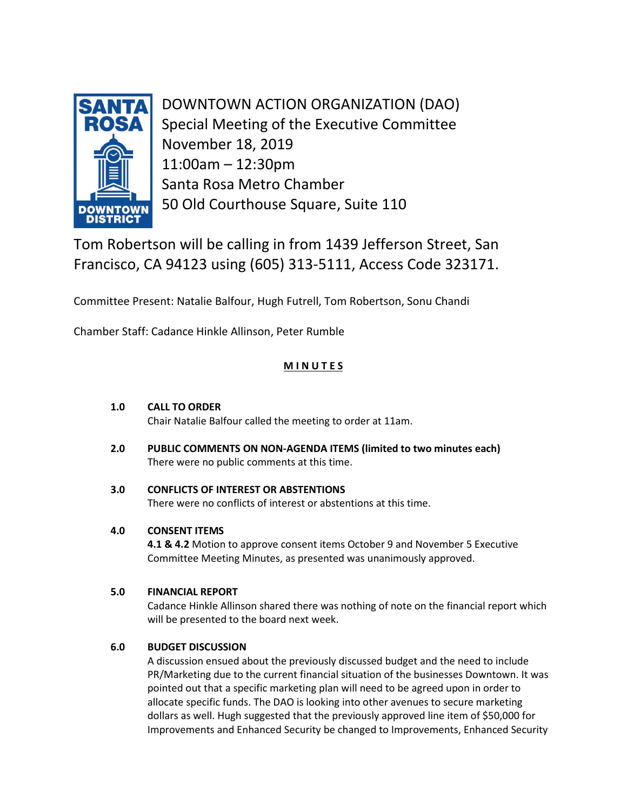

DOWNTOWN ACTION ORGANIZATION (DAO) Special Meeting of the Executive Committee November 18, 2019 11:00am – 12:30pm Santa Rosa Metro Chamber 50 Old Courthouse Square, Suite 110

Tom Robertson will be calling in from 1439 Jefferson Street, San Francisco, CA 94123 using (605) 313-5111, Access Code 323171.

Committee Present: Natalie Balfour, Hugh Futrell, Tom Robertson, Sonu Chandi

Chamber Staff: Cadance Hinkle Allinson, Peter Rumble

# **M I N U T E S**

#### **1.0 CALL TO ORDER**

Chair Natalie Balfour called the meeting to order at 11am.

**2.0 PUBLIC COMMENTS ON NON-AGENDA ITEMS (limited to two minutes each)** There were no public comments at this time.

#### **3.0 CONFLICTS OF INTEREST OR ABSTENTIONS** There were no conflicts of interest or abstentions at this time.

## **4.0 CONSENT ITEMS**

**4.1 & 4.2** Motion to approve consent items October 9 and November 5 Executive Committee Meeting Minutes, as presented was unanimously approved.

## **5.0 FINANCIAL REPORT**

Cadance Hinkle Allinson shared there was nothing of note on the financial report which will be presented to the board next week.

## **6.0 BUDGET DISCUSSION**

A discussion ensued about the previously discussed budget and the need to include PR/Marketing due to the current financial situation of the businesses Downtown. It was pointed out that a specific marketing plan will need to be agreed upon in order to allocate specific funds. The DAO is looking into other avenues to secure marketing dollars as well. Hugh suggested that the previously approved line item of \$50,000 for Improvements and Enhanced Security be changed to Improvements, Enhanced Security